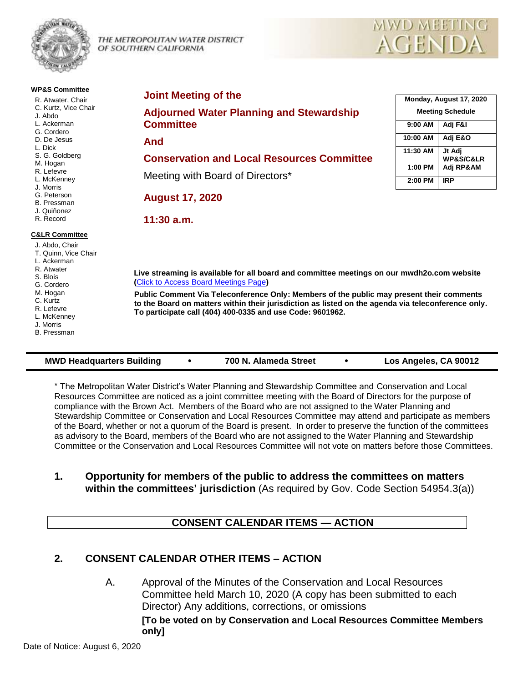

THE METROPOLITAN WATER DISTRICT OF SOUTHERN CALIFORNIA

#### **WP&S Committee**

R. Atwater, Chair C. Kurtz, Vice Chair J. Abdo L. Ackerman G. Cordero D. De Jesus L. Dick S. G. Goldberg M. Hogan R. Lefevre L. McKenney J. Morris G. Peterson

#### B. Pressman

J. Quiñonez R. Record

#### **C&LR Committee**

- J. Abdo, Chair T. Quinn, Vice Chair L. Ackerman R. Atwater S. Blois G. Cordero M. Hogan C. Kurtz R. Lefevre L. McKenney J. Morris
- B. Pressman

#### **Joint Meeting of the**

**Adjourned Water Planning and Stewardship Committee**

**And**

#### **Conservation and Local Resources Committee**

Meeting with Board of Directors\*

**August 17, 2020**

**11:30 a.m.**

| Monday, August 17, 2020 |                                    |
|-------------------------|------------------------------------|
| <b>Meeting Schedule</b> |                                    |
| $9:00$ AM               | Adj F&I                            |
| 10:00 AM                | Adj E&O                            |
| 11:30 AM                | Jt Adj<br><b>WP&amp;S/C&amp;LR</b> |
| 1:00 PM                 | Adj RP&AM                          |
| 2:00 PM                 | IR P                               |

**MWD MEETING** 

**AGENDA** 

**Live streaming is available for all board and committee meetings on our mwdh2o.com website (**[Click to Access Board Meetings Page](http://www.mwdh2o.com/WhoWeAre/Board/Board-Meeting/Pages/default.aspx)**)**

**Public Comment Via Teleconference Only: Members of the public may present their comments to the Board on matters within their jurisdiction as listed on the agenda via teleconference only. To participate call (404) 400-0335 and use Code: 9601962.**

#### **MWD Headquarters Building 700 N. Alameda Street Los Angeles, CA 90012**

- 
- 

\* The Metropolitan Water District's Water Planning and Stewardship Committee and Conservation and Local Resources Committee are noticed as a joint committee meeting with the Board of Directors for the purpose of compliance with the Brown Act. Members of the Board who are not assigned to the Water Planning and Stewardship Committee or Conservation and Local Resources Committee may attend and participate as members of the Board, whether or not a quorum of the Board is present. In order to preserve the function of the committees as advisory to the Board, members of the Board who are not assigned to the Water Planning and Stewardship Committee or the Conservation and Local Resources Committee will not vote on matters before those Committees.

## **1. Opportunity for members of the public to address the committees on matters within the committees' jurisdiction** (As required by Gov. Code Section 54954.3(a))

# **CONSENT CALENDAR ITEMS — ACTION**

# **2. CONSENT CALENDAR OTHER ITEMS – ACTION**

A. Approval of the Minutes of the Conservation and Local Resources Committee held March 10, 2020 (A copy has been submitted to each Director) Any additions, corrections, or omissions **[To be voted on by Conservation and Local Resources Committee Members only]**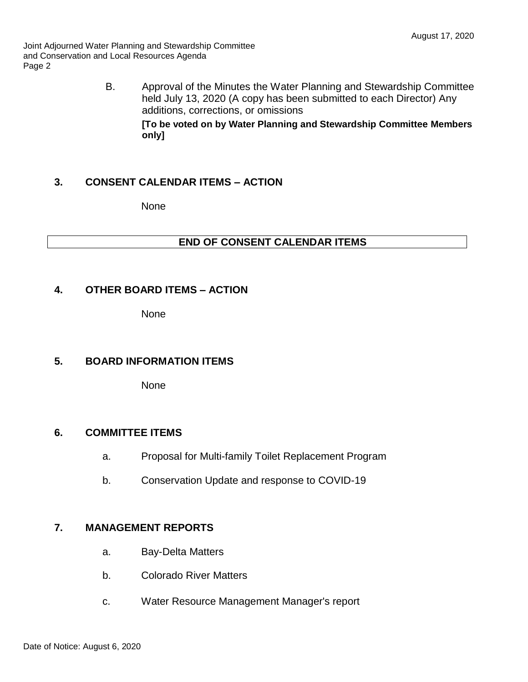Joint Adjourned Water Planning and Stewardship Committee and Conservation and Local Resources Agenda Page 2

> B. Approval of the Minutes the Water Planning and Stewardship Committee held July 13, 2020 (A copy has been submitted to each Director) Any additions, corrections, or omissions **[To be voted on by Water Planning and Stewardship Committee Members only]**

## **3. CONSENT CALENDAR ITEMS – ACTION**

None

## **END OF CONSENT CALENDAR ITEMS**

#### **4. OTHER BOARD ITEMS – ACTION**

None

# **5. BOARD INFORMATION ITEMS**

None

## **6. COMMITTEE ITEMS**

- a. Proposal for Multi-family Toilet Replacement Program
- b. Conservation Update and response to COVID-19

## **7. MANAGEMENT REPORTS**

- a. Bay-Delta Matters
- b. Colorado River Matters
- c. Water Resource Management Manager's report